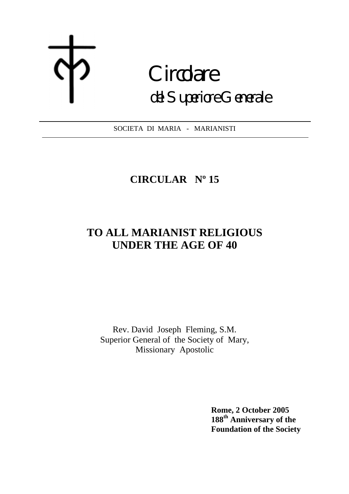# **Circolare** del Superiore Generale

SOCIETA DI MARIA - MARIANISTI

# **CIRCULAR Nº 15**

# **TO ALL MARIANIST RELIGIOUS UNDER THE AGE OF 40**

Rev. David Joseph Fleming, S.M. Superior General of the Society of Mary, Missionary Apostolic

> **Rome, 2 October 2005 188th Anniversary of the Foundation of the Society**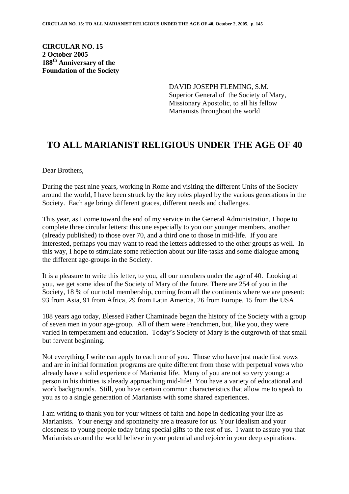**CIRCULAR NO. 15 2 October 2005 188th Anniversary of the Foundation of the Society**

> DAVID JOSEPH FLEMING, S.M. Superior General of the Society of Mary, Missionary Apostolic, to all his fellow Marianists throughout the world

### **TO ALL MARIANIST RELIGIOUS UNDER THE AGE OF 40**

Dear Brothers,

During the past nine years, working in Rome and visiting the different Units of the Society around the world, I have been struck by the key roles played by the various generations in the Society. Each age brings different graces, different needs and challenges.

This year, as I come toward the end of my service in the General Administration, I hope to complete three circular letters: this one especially to you our younger members, another (already published) to those over 70, and a third one to those in mid-life. If you are interested, perhaps you may want to read the letters addressed to the other groups as well. In this way, I hope to stimulate some reflection about our life-tasks and some dialogue among the different age-groups in the Society.

It is a pleasure to write this letter, to you, all our members under the age of 40. Looking at you, we get some idea of the Society of Mary of the future. There are 254 of you in the Society, 18 % of our total membership, coming from all the continents where we are present: 93 from Asia, 91 from Africa, 29 from Latin America, 26 from Europe, 15 from the USA.

188 years ago today, Blessed Father Chaminade began the history of the Society with a group of seven men in your age-group. All of them were Frenchmen, but, like you, they were varied in temperament and education. Today's Society of Mary is the outgrowth of that small but fervent beginning.

Not everything I write can apply to each one of you. Those who have just made first vows and are in initial formation programs are quite different from those with perpetual vows who already have a solid experience of Marianist life. Many of you are not so very young: a person in his thirties is already approaching mid-life! You have a variety of educational and work backgrounds. Still, you have certain common characteristics that allow me to speak to you as to a single generation of Marianists with some shared experiences.

I am writing to thank you for your witness of faith and hope in dedicating your life as Marianists. Your energy and spontaneity are a treasure for us. Your idealism and your closeness to young people today bring special gifts to the rest of us. I want to assure you that Marianists around the world believe in your potential and rejoice in your deep aspirations.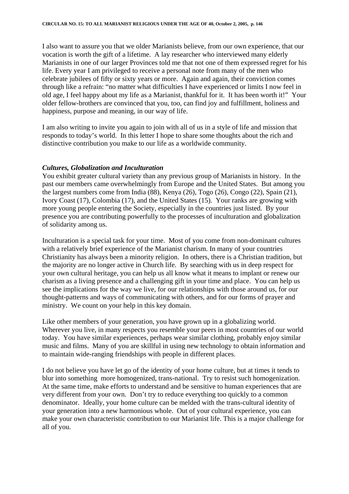I also want to assure you that we older Marianists believe, from our own experience, that our vocation is worth the gift of a lifetime. A lay researcher who interviewed many elderly Marianists in one of our larger Provinces told me that not one of them expressed regret for his life. Every year I am privileged to receive a personal note from many of the men who celebrate jubilees of fifty or sixty years or more. Again and again, their conviction comes through like a refrain: "no matter what difficulties I have experienced or limits I now feel in old age, I feel happy about my life as a Marianist, thankful for it. It has been worth it!" Your older fellow-brothers are convinced that you, too, can find joy and fulfillment, holiness and happiness, purpose and meaning, in our way of life.

I am also writing to invite you again to join with all of us in a style of life and mission that responds to today's world. In this letter I hope to share some thoughts about the rich and distinctive contribution you make to our life as a worldwide community.

#### *Cultures, Globalization and Inculturation*

You exhibit greater cultural variety than any previous group of Marianists in history. In the past our members came overwhelmingly from Europe and the United States. But among you the largest numbers come from India (88), Kenya (26), Togo (26), Congo (22), Spain (21), Ivory Coast (17), Colombia (17), and the United States (15). Your ranks are growing with more young people entering the Society, especially in the countries just listed. By your presence you are contributing powerfully to the processes of inculturation and globalization of solidarity among us.

Inculturation is a special task for your time. Most of you come from non-dominant cultures with a relatively brief experience of the Marianist charism. In many of your countries Christianity has always been a minority religion. In others, there is a Christian tradition, but the majority are no longer active in Church life. By searching with us in deep respect for your own cultural heritage, you can help us all know what it means to implant or renew our charism as a living presence and a challenging gift in your time and place. You can help us see the implications for the way we live, for our relationships with those around us, for our thought-patterns and ways of communicating with others, and for our forms of prayer and ministry. We count on your help in this key domain.

Like other members of your generation, you have grown up in a globalizing world. Wherever you live, in many respects you resemble your peers in most countries of our world today. You have similar experiences, perhaps wear similar clothing, probably enjoy similar music and films. Many of you are skillful in using new technology to obtain information and to maintain wide-ranging friendships with people in different places.

I do not believe you have let go of the identity of your home culture, but at times it tends to blur into something more homogenized, trans-national. Try to resist such homogenization. At the same time, make efforts to understand and be sensitive to human experiences that are very different from your own. Don't try to reduce everything too quickly to a common denominator. Ideally, your home culture can be melded with the trans-cultural identity of your generation into a new harmonious whole. Out of your cultural experience, you can make your own characteristic contribution to our Marianist life. This is a major challenge for all of you.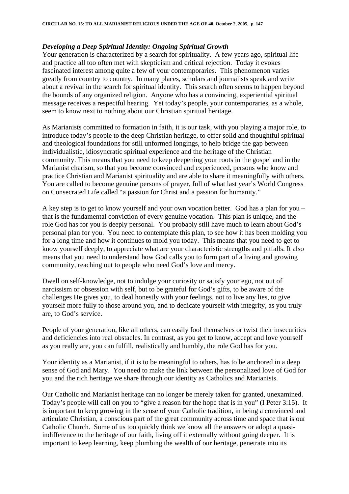#### *Developing a Deep Spiritual Identity: Ongoing Spiritual Growth*

Your generation is characterized by a search for spirituality. A few years ago, spiritual life and practice all too often met with skepticism and critical rejection. Today it evokes fascinated interest among quite a few of your contemporaries. This phenomenon varies greatly from country to country. In many places, scholars and journalists speak and write about a revival in the search for spiritual identity. This search often seems to happen beyond the bounds of any organized religion. Anyone who has a convincing, experiential spiritual message receives a respectful hearing. Yet today's people, your contemporaries, as a whole, seem to know next to nothing about our Christian spiritual heritage.

As Marianists committed to formation in faith, it is our task, with you playing a major role, to introduce today's people to the deep Christian heritage, to offer solid and thoughtful spiritual and theological foundations for still unformed longings, to help bridge the gap between individualistic, idiosyncratic spiritual experience and the heritage of the Christian community. This means that you need to keep deepening your roots in the gospel and in the Marianist charism, so that you become convinced and experienced, persons who know and practice Christian and Marianist spirituality and are able to share it meaningfully with others. You are called to become genuine persons of prayer, full of what last year's World Congress on Consecrated Life called "a passion for Christ and a passion for humanity."

A key step is to get to know yourself and your own vocation better. God has a plan for you – that is the fundamental conviction of every genuine vocation. This plan is unique, and the role God has for you is deeply personal. You probably still have much to learn about God's personal plan for you. You need to contemplate this plan, to see how it has been molding you for a long time and how it continues to mold you today. This means that you need to get to know yourself deeply, to appreciate what are your characteristic strengths and pitfalls. It also means that you need to understand how God calls you to form part of a living and growing community, reaching out to people who need God's love and mercy.

Dwell on self-knowledge, not to indulge your curiosity or satisfy your ego, not out of narcissism or obsession with self, but to be grateful for God's gifts, to be aware of the challenges He gives you, to deal honestly with your feelings, not to live any lies, to give yourself more fully to those around you, and to dedicate yourself with integrity, as you truly are, to God's service.

People of your generation, like all others, can easily fool themselves or twist their insecurities and deficiencies into real obstacles. In contrast, as you get to know, accept and love yourself as you really are, you can fulfill, realistically and humbly, the role God has for you.

Your identity as a Marianist, if it is to be meaningful to others, has to be anchored in a deep sense of God and Mary. You need to make the link between the personalized love of God for you and the rich heritage we share through our identity as Catholics and Marianists.

Our Catholic and Marianist heritage can no longer be merely taken for granted, unexamined. Today's people will call on you to "give a reason for the hope that is in you" (I Peter 3:15). It is important to keep growing in the sense of your Catholic tradition, in being a convinced and articulate Christian, a conscious part of the great community across time and space that is our Catholic Church. Some of us too quickly think we know all the answers or adopt a quasiindifference to the heritage of our faith, living off it externally without going deeper. It is important to keep learning, keep plumbing the wealth of our heritage, penetrate into its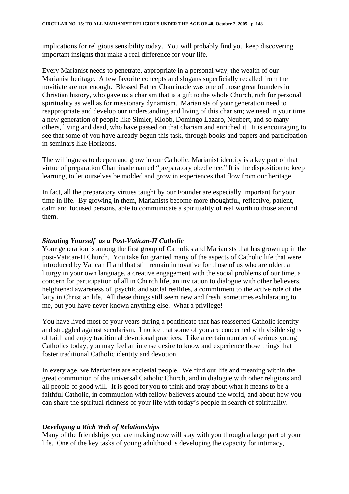implications for religious sensibility today. You will probably find you keep discovering important insights that make a real difference for your life.

Every Marianist needs to penetrate, appropriate in a personal way, the wealth of our Marianist heritage. A few favorite concepts and slogans superficially recalled from the novitiate are not enough. Blessed Father Chaminade was one of those great founders in Christian history, who gave us a charism that is a gift to the whole Church, rich for personal spirituality as well as for missionary dynamism. Marianists of your generation need to reappropriate and develop our understanding and living of this charism; we need in your time a new generation of people like Simler, Klobb, Domingo Lázaro, Neubert, and so many others, living and dead, who have passed on that charism and enriched it. It is encouraging to see that some of you have already begun this task, through books and papers and participation in seminars like Horizons.

The willingness to deepen and grow in our Catholic, Marianist identity is a key part of that virtue of preparation Chaminade named "preparatory obedience." It is the disposition to keep learning, to let ourselves be molded and grow in experiences that flow from our heritage.

In fact, all the preparatory virtues taught by our Founder are especially important for your time in life. By growing in them, Marianists become more thoughtful, reflective, patient, calm and focused persons, able to communicate a spirituality of real worth to those around them.

#### *Situating Yourself as a Post-Vatican-II Catholic*

Your generation is among the first group of Catholics and Marianists that has grown up in the post-Vatican-II Church. You take for granted many of the aspects of Catholic life that were introduced by Vatican II and that still remain innovative for those of us who are older: a liturgy in your own language, a creative engagement with the social problems of our time, a concern for participation of all in Church life, an invitation to dialogue with other believers, heightened awareness of psychic and social realities, a commitment to the active role of the laity in Christian life. All these things still seem new and fresh, sometimes exhilarating to me, but you have never known anything else. What a privilege!

You have lived most of your years during a pontificate that has reasserted Catholic identity and struggled against secularism. I notice that some of you are concerned with visible signs of faith and enjoy traditional devotional practices. Like a certain number of serious young Catholics today, you may feel an intense desire to know and experience those things that foster traditional Catholic identity and devotion.

In every age, we Marianists are ecclesial people. We find our life and meaning within the great communion of the universal Catholic Church, and in dialogue with other religions and all people of good will. It is good for you to think and pray about what it means to be a faithful Catholic, in communion with fellow believers around the world, and about how you can share the spiritual richness of your life with today's people in search of spirituality.

#### *Developing a Rich Web of Relationships*

Many of the friendships you are making now will stay with you through a large part of your life. One of the key tasks of young adulthood is developing the capacity for intimacy,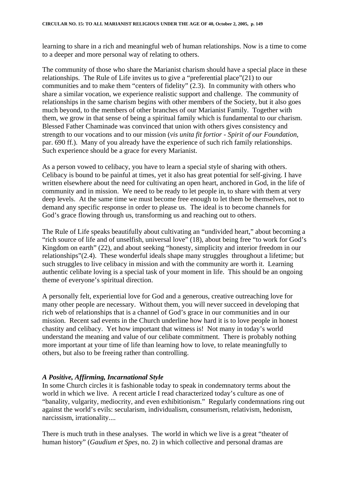learning to share in a rich and meaningful web of human relationships. Now is a time to come to a deeper and more personal way of relating to others.

The community of those who share the Marianist charism should have a special place in these relationships. The Rule of Life invites us to give a "preferential place"(21) to our communities and to make them "centers of fidelity" (2.3). In community with others who share a similar vocation, we experience realistic support and challenge. The community of relationships in the same charism begins with other members of the Society, but it also goes much beyond, to the members of other branches of our Marianist Family. Together with them, we grow in that sense of being a spiritual family which is fundamental to our charism. Blessed Father Chaminade was convinced that union with others gives consistency and strength to our vocations and to our mission (*vis unita fit fortior - Spirit of our Foundation*, par. 690 ff.). Many of you already have the experience of such rich family relationships. Such experience should be a grace for every Marianist.

As a person vowed to celibacy, you have to learn a special style of sharing with others. Celibacy is bound to be painful at times, yet it also has great potential for self-giving. I have written elsewhere about the need for cultivating an open heart, anchored in God, in the life of community and in mission. We need to be ready to let people in, to share with them at very deep levels. At the same time we must become free enough to let them be themselves, not to demand any specific response in order to please us. The ideal is to become channels for God's grace flowing through us, transforming us and reaching out to others.

The Rule of Life speaks beautifully about cultivating an "undivided heart," about becoming a "rich source of life and of unselfish, universal love" (18), about being free "to work for God's Kingdom on earth" (22), and about seeking "honesty, simplicity and interior freedom in our relationships"(2.4). These wonderful ideals shape many struggles throughout a lifetime; but such struggles to live celibacy in mission and with the community are worth it. Learning authentic celibate loving is a special task of your moment in life. This should be an ongoing theme of everyone's spiritual direction.

A personally felt, experiential love for God and a generous, creative outreaching love for many other people are necessary. Without them, you will never succeed in developing that rich web of relationships that is a channel of God's grace in our communities and in our mission.Recent sad events in the Church underline how hard it is to love people in honest chastity and celibacy. Yet how important that witness is! Not many in today's world understand the meaning and value of our celibate commitment. There is probably nothing more important at your time of life than learning how to love, to relate meaningfully to others, but also to be freeing rather than controlling.

#### *A Positive, Affirming, Incarnational Style*

In some Church circles it is fashionable today to speak in condemnatory terms about the world in which we live. A recent article I read characterized today's culture as one of "banality, vulgarity, mediocrity, and even exhibitionism." Regularly condemnations ring out against the world's evils: secularism, individualism, consumerism, relativism, hedonism, narcissism, irrationality....

There is much truth in these analyses. The world in which we live is a great "theater of human history" (*Gaudium et Spes*, no. 2) in which collective and personal dramas are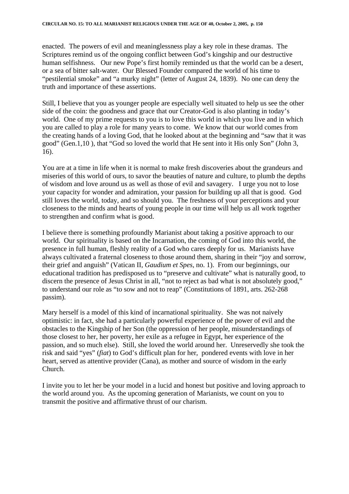enacted. The powers of evil and meaninglessness play a key role in these dramas. The Scriptures remind us of the ongoing conflict between God's kingship and our destructive human selfishness. Our new Pope's first homily reminded us that the world can be a desert, or a sea of bitter salt-water. Our Blessed Founder compared the world of his time to "pestilential smoke" and "a murky night" (letter of August 24, 1839). No one can deny the truth and importance of these assertions.

Still, I believe that you as younger people are especially well situated to help us see the other side of the coin: the goodness and grace that our Creator-God is also planting in today's world. One of my prime requests to you is to love this world in which you live and in which you are called to play a role for many years to come. We know that our world comes from the creating hands of a loving God, that he looked about at the beginning and "saw that it was good" (Gen.1,10 ), that "God so loved the world that He sent into it His only Son" (John 3, 16).

You are at a time in life when it is normal to make fresh discoveries about the grandeurs and miseries of this world of ours, to savor the beauties of nature and culture, to plumb the depths of wisdom and love around us as well as those of evil and savagery. I urge you not to lose your capacity for wonder and admiration, your passion for building up all that is good. God still loves the world, today, and so should you. The freshness of your perceptions and your closeness to the minds and hearts of young people in our time will help us all work together to strengthen and confirm what is good.

I believe there is something profoundly Marianist about taking a positive approach to our world. Our spirituality is based on the Incarnation, the coming of God into this world, the presence in full human, fleshly reality of a God who cares deeply for us. Marianists have always cultivated a fraternal closeness to those around them, sharing in their "joy and sorrow, their grief and anguish" (Vatican II, *Gaudium et Spes*, no. 1). From our beginnings, our educational tradition has predisposed us to "preserve and cultivate" what is naturally good, to discern the presence of Jesus Christ in all, "not to reject as bad what is not absolutely good," to understand our role as "to sow and not to reap" (Constitutions of 1891, arts. 262-268 passim).

Mary herself is a model of this kind of incarnational spirituality. She was not naively optimistic: in fact, she had a particularly powerful experience of the power of evil and the obstacles to the Kingship of her Son (the oppression of her people, misunderstandings of those closest to her, her poverty, her exile as a refugee in Egypt, her experience of the passion, and so much else). Still, she loved the world around her. Unreservedly she took the risk and said "yes" (*fiat*) to God's difficult plan for her, pondered events with love in her heart, served as attentive provider (Cana), as mother and source of wisdom in the early Church.

I invite you to let her be your model in a lucid and honest but positive and loving approach to the world around you. As the upcoming generation of Marianists, we count on you to transmit the positive and affirmative thrust of our charism.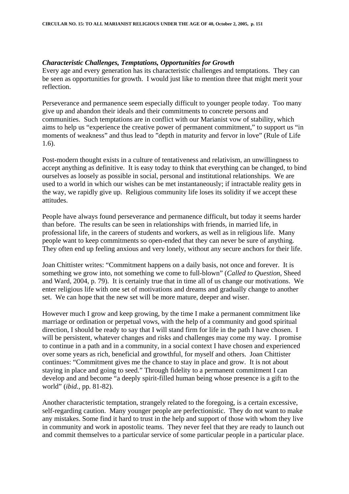#### *Characteristic Challenges, Temptations, Opportunities for Growth*

Every age and every generation has its characteristic challenges and temptations. They can be seen as opportunities for growth. I would just like to mention three that might merit your reflection.

Perseverance and permanence seem especially difficult to younger people today. Too many give up and abandon their ideals and their commitments to concrete persons and communities. Such temptations are in conflict with our Marianist vow of stability, which aims to help us "experience the creative power of permanent commitment," to support us "in moments of weakness" and thus lead to "depth in maturity and fervor in love" (Rule of Life 1.6).

Post-modern thought exists in a culture of tentativeness and relativism, an unwillingness to accept anything as definitive. It is easy today to think that everything can be changed, to bind ourselves as loosely as possible in social, personal and institutional relationships. We are used to a world in which our wishes can be met instantaneously; if intractable reality gets in the way, we rapidly give up. Religious community life loses its solidity if we accept these attitudes.

People have always found perseverance and permanence difficult, but today it seems harder than before. The results can be seen in relationships with friends, in married life, in professional life, in the careers of students and workers, as well as in religious life. Many people want to keep commitments so open-ended that they can never be sure of anything. They often end up feeling anxious and very lonely, without any secure anchors for their life.

Joan Chittister writes: "Commitment happens on a daily basis, not once and forever. It is something we grow into, not something we come to full-blown" (*Called to Question*, Sheed and Ward, 2004, p. 79). It is certainly true that in time all of us change our motivations. We enter religious life with one set of motivations and dreams and gradually change to another set. We can hope that the new set will be more mature, deeper and wiser.

However much I grow and keep growing, by the time I make a permanent commitment like marriage or ordination or perpetual vows, with the help of a community and good spiritual direction, I should be ready to say that I will stand firm for life in the path I have chosen. I will be persistent, whatever changes and risks and challenges may come my way. I promise to continue in a path and in a community, in a social context I have chosen and experienced over some years as rich, beneficial and growthful, for myself and others. Joan Chittister continues: "Commitment gives me the chance to stay in place and grow. It is not about staying in place and going to seed." Through fidelity to a permanent commitment I can develop and and become "a deeply spirit-filled human being whose presence is a gift to the world" (*ibid.,* pp. 81-82).

Another characteristic temptation, strangely related to the foregoing, is a certain excessive, self-regarding caution. Many younger people are perfectionistic. They do not want to make any mistakes. Some find it hard to trust in the help and support of those with whom they live in community and work in apostolic teams. They never feel that they are ready to launch out and commit themselves to a particular service of some particular people in a particular place.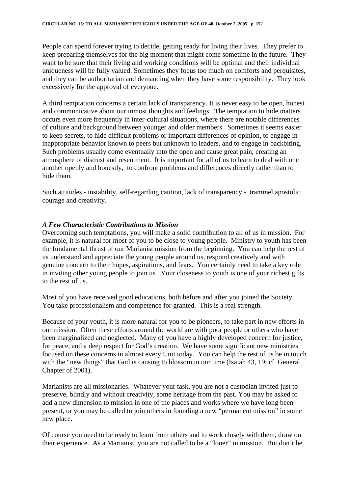People can spend forever trying to decide, getting ready for living their lives. They prefer to keep preparing themselves for the big moment that might come sometime in the future. They want to be sure that their living and working conditions will be optimal and their individual uniqueness will be fully valued. Sometimes they focus too much on comforts and perquisites, and they can be authoritarian and demanding when they have some responsibility. They look excessively for the approval of everyone.

A third temptation concerns a certain lack of transparency. It is never easy to be open, honest and communicative about our inmost thoughts and feelings. The temptation to hide matters occurs even more frequently in inter-cultural situations, where there are notable differences of culture and background between younger and older members. Sometimes it seems easier to keep secrets, to hide difficult problems or important differences of opinion, to engage in inappropriate behavior known to peers but unknown to leaders, and to engage in backbiting. Such problems usually come eventually into the open and cause great pain, creating an atmosphere of distrust and resentment. It is important for all of us to learn to deal with one another openly and honestly, to confront problems and differences directly rather than to hide them.

Such attitudes - instability, self-regarding caution, lack of transparency - trammel apostolic courage and creativity.

#### *A Few Characteristic Contributions to Mission*

Overcoming such temptations, you will make a solid contribution to all of us in mission. For example, it is natural for most of you to be close to young people. Ministry to youth has been the fundamental thrust of our Marianist mission from the beginning. You can help the rest of us understand and appreciate the young people around us, respond creatively and with genuine concern to their hopes, aspirations, and fears. You certainly need to take a key role in inviting other young people to join us. Your closeness to youth is one of your richest gifts to the rest of us.

Most of you have received good educations, both before and after you joined the Society. You take professionalism and competence for granted. This is a real strength.

Because of your youth, it is more natural for you to be pioneers, to take part in new efforts in our mission. Often these efforts around the world are with poor people or others who have been marginalized and neglected. Many of you have a highly developed concern for justice, for peace, and a deep respect for God's creation. We have some significant new ministries focused on these concerns in almost every Unit today. You can help the rest of us be in touch with the "new things" that God is causing to blossom in our time (Isaiah 43, 19; cf. General Chapter of 2001).

Marianists are all missionaries. Whatever your task, you are not a custodian invited just to preserve, blindly and without creativity, some heritage from the past. You may be asked to add a new dimension to mission in one of the places and works where we have long been present, or you may be called to join others in founding a new "permanent mission" in some new place.

Of course you need to be ready to learn from others and to work closely with them, draw on their experience. As a Marianist, you are not called to be a "loner" in mission. But don't be